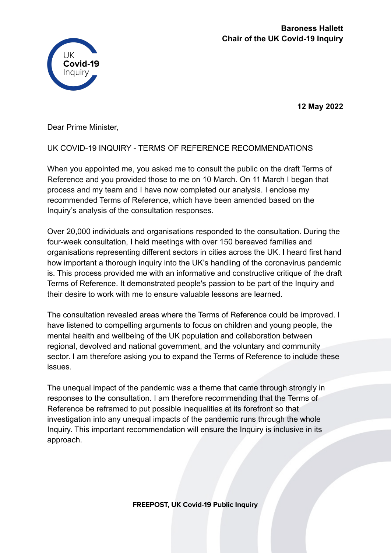

**12 May 2022**

Dear Prime Minister,

## UK COVID-19 INQUIRY - TERMS OF REFERENCE RECOMMENDATIONS

When you appointed me, you asked me to consult the public on the draft Terms of Reference and you provided those to me on 10 March. On 11 March I began that process and my team and I have now completed our analysis. I enclose my recommended Terms of Reference, which have been amended based on the Inquiry's analysis of the consultation responses.

Over 20,000 individuals and organisations responded to the consultation. During the four-week consultation, I held meetings with over 150 bereaved families and organisations representing different sectors in cities across the UK. I heard first hand how important a thorough inquiry into the UK's handling of the coronavirus pandemic is. This process provided me with an informative and constructive critique of the draft Terms of Reference. It demonstrated people's passion to be part of the Inquiry and their desire to work with me to ensure valuable lessons are learned.

The consultation revealed areas where the Terms of Reference could be improved. I have listened to compelling arguments to focus on children and young people, the mental health and wellbeing of the UK population and collaboration between regional, devolved and national government, and the voluntary and community sector. I am therefore asking you to expand the Terms of Reference to include these issues.

The unequal impact of the pandemic was a theme that came through strongly in responses to the consultation. I am therefore recommending that the Terms of Reference be reframed to put possible inequalities at its forefront so that investigation into any unequal impacts of the pandemic runs through the whole Inquiry. This important recommendation will ensure the Inquiry is inclusive in its approach.

**FREEPOST, UK Covid-19 Public Inquiry**